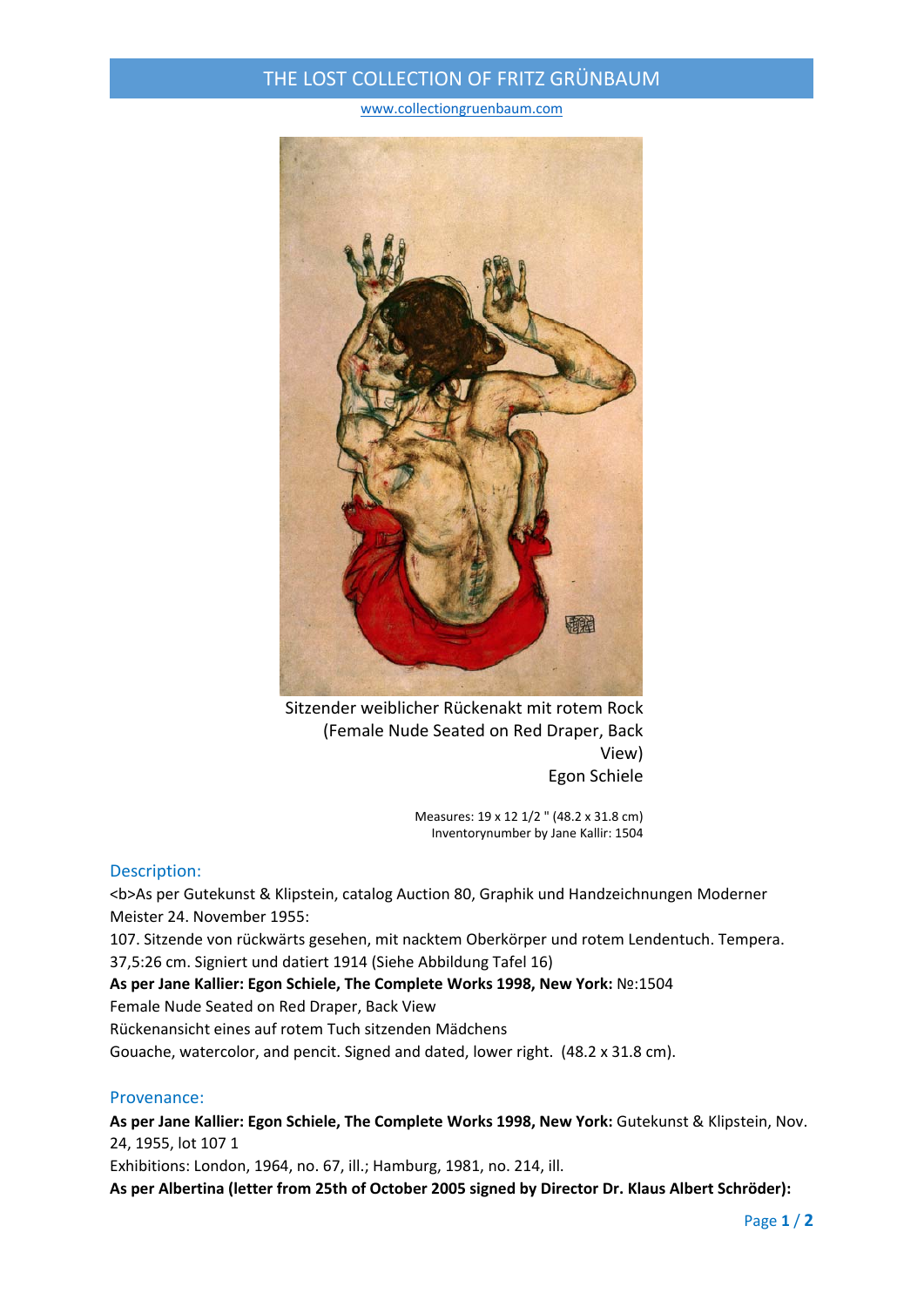## THE LOST COLLECTION OF FRITZ GRÜNBAUM

www.collectiongruenbaum.com



Sitzender weiblicher Rückenakt mit rotem Rock (Female Nude Seated on Red Draper, Back View) Egon Schiele

> Measures: 19 x 12 1/2 " (48.2 x 31.8 cm) Inventorynumber by Jane Kallir: 1504

## Description:

<b>As per Gutekunst & Klipstein, catalog Auction 80, Graphik und Handzeichnungen Moderner Meister 24. November 1955:

107. Sitzende von rückwärts gesehen, mit nacktem Oberkörper und rotem Lendentuch. Tempera. 37,5:26 cm. Signiert und datiert 1914 (Siehe Abbildung Tafel 16)

**As per Jane Kallier: Egon Schiele, The Complete Works 1998, New York:** №:1504

Female Nude Seated on Red Draper, Back View

Rückenansicht eines auf rotem Tuch sitzenden Mädchens

Gouache, watercolor, and pencit. Signed and dated, lower right. (48.2 x 31.8 cm).

## Provenance:

**As per Jane Kallier: Egon Schiele, The Complete Works 1998, New York:** Gutekunst & Klipstein, Nov. 24, 1955, lot 107 1

Exhibitions: London, 1964, no. 67, ill.; Hamburg, 1981, no. 214, ill.

**As per Albertina (letter from 25th of October 2005 signed by Director Dr. Klaus Albert Schröder):**